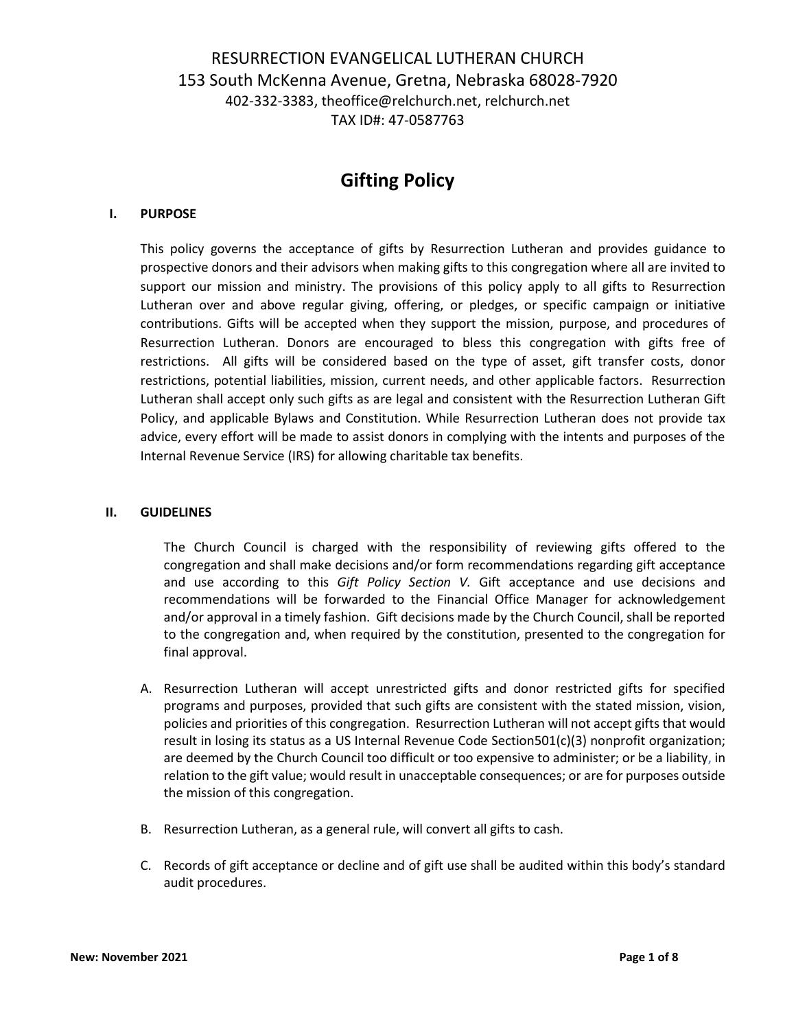## RESURRECTION EVANGELICAL LUTHERAN CHURCH 153 South McKenna Avenue, Gretna, Nebraska 68028-7920 402-332-3383, theoffice@relchurch.net, relchurch.net TAX ID#: 47-0587763

# **Gifting Policy**

### **I. PURPOSE**

This policy governs the acceptance of gifts by Resurrection Lutheran and provides guidance to prospective donors and their advisors when making gifts to this congregation where all are invited to support our mission and ministry. The provisions of this policy apply to all gifts to Resurrection Lutheran over and above regular giving, offering, or pledges, or specific campaign or initiative contributions. Gifts will be accepted when they support the mission, purpose, and procedures of Resurrection Lutheran. Donors are encouraged to bless this congregation with gifts free of restrictions. All gifts will be considered based on the type of asset, gift transfer costs, donor restrictions, potential liabilities, mission, current needs, and other applicable factors. Resurrection Lutheran shall accept only such gifts as are legal and consistent with the Resurrection Lutheran Gift Policy, and applicable Bylaws and Constitution. While Resurrection Lutheran does not provide tax advice, every effort will be made to assist donors in complying with the intents and purposes of the Internal Revenue Service (IRS) for allowing charitable tax benefits.

#### **II. GUIDELINES**

The Church Council is charged with the responsibility of reviewing gifts offered to the congregation and shall make decisions and/or form recommendations regarding gift acceptance and use according to this *Gift Policy Section V.* Gift acceptance and use decisions and recommendations will be forwarded to the Financial Office Manager for acknowledgement and/or approval in a timely fashion. Gift decisions made by the Church Council, shall be reported to the congregation and, when required by the constitution, presented to the congregation for final approval.

- A. Resurrection Lutheran will accept unrestricted gifts and donor restricted gifts for specified programs and purposes, provided that such gifts are consistent with the stated mission, vision, policies and priorities of this congregation. Resurrection Lutheran will not accept gifts that would result in losing its status as a US Internal Revenue Code Section501(c)(3) nonprofit organization; are deemed by the Church Council too difficult or too expensive to administer; or be a liability, in relation to the gift value; would result in unacceptable consequences; or are for purposes outside the mission of this congregation.
- B. Resurrection Lutheran, as a general rule, will convert all gifts to cash.
- C. Records of gift acceptance or decline and of gift use shall be audited within this body's standard audit procedures.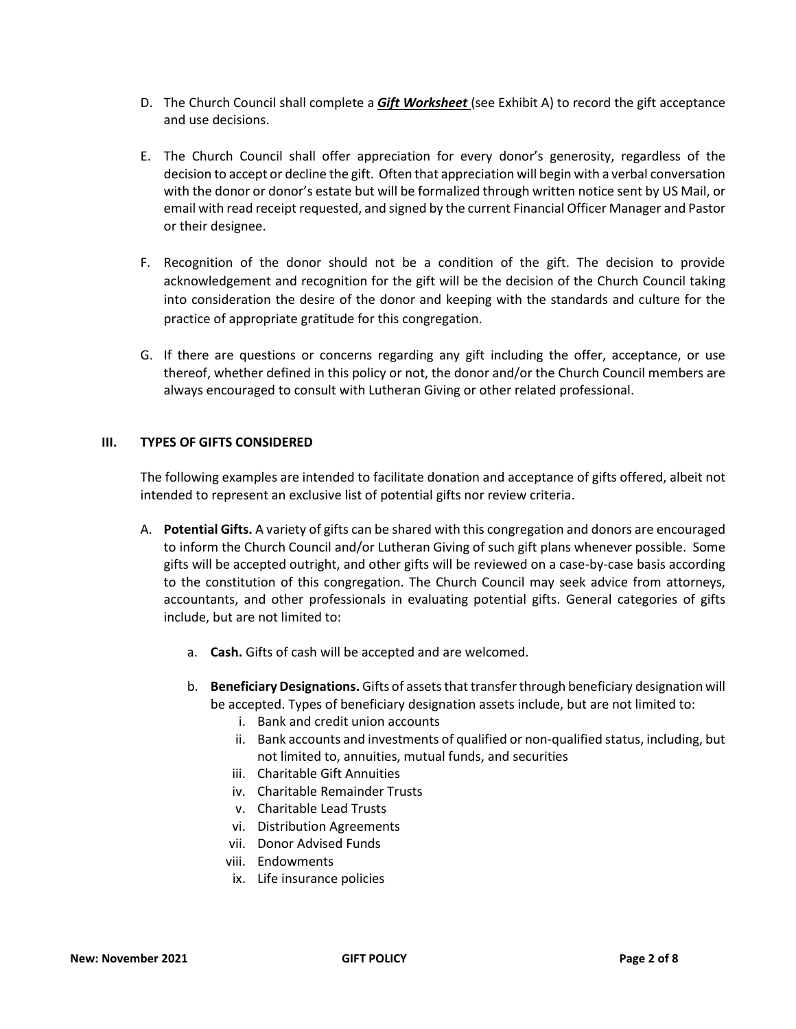- D. The Church Council shall complete a *Gift Worksheet* (see Exhibit A) to record the gift acceptance and use decisions.
- E. The Church Council shall offer appreciation for every donor's generosity, regardless of the decision to accept or decline the gift. Often that appreciation will begin with a verbal conversation with the donor or donor's estate but will be formalized through written notice sent by US Mail, or email with read receipt requested, and signed by the current Financial Officer Manager and Pastor or their designee.
- F. Recognition of the donor should not be a condition of the gift. The decision to provide acknowledgement and recognition for the gift will be the decision of the Church Council taking into consideration the desire of the donor and keeping with the standards and culture for the practice of appropriate gratitude for this congregation.
- G. If there are questions or concerns regarding any gift including the offer, acceptance, or use thereof, whether defined in this policy or not, the donor and/or the Church Council members are always encouraged to consult with Lutheran Giving or other related professional.

### **III. TYPES OF GIFTS CONSIDERED**

The following examples are intended to facilitate donation and acceptance of gifts offered, albeit not intended to represent an exclusive list of potential gifts nor review criteria.

- A. **Potential Gifts.** A variety of gifts can be shared with this congregation and donors are encouraged to inform the Church Council and/or Lutheran Giving of such gift plans whenever possible. Some gifts will be accepted outright, and other gifts will be reviewed on a case-by-case basis according to the constitution of this congregation. The Church Council may seek advice from attorneys, accountants, and other professionals in evaluating potential gifts. General categories of gifts include, but are not limited to:
	- a. **Cash.** Gifts of cash will be accepted and are welcomed.
	- b. **Beneficiary Designations.** Gifts of assets that transfer through beneficiary designation will be accepted. Types of beneficiary designation assets include, but are not limited to:
		- i. Bank and credit union accounts
		- ii. Bank accounts and investments of qualified or non-qualified status, including, but not limited to, annuities, mutual funds, and securities
		- iii. Charitable Gift Annuities
		- iv. Charitable Remainder Trusts
		- v. Charitable Lead Trusts
		- vi. Distribution Agreements
		- vii. Donor Advised Funds
		- viii. Endowments
		- ix. Life insurance policies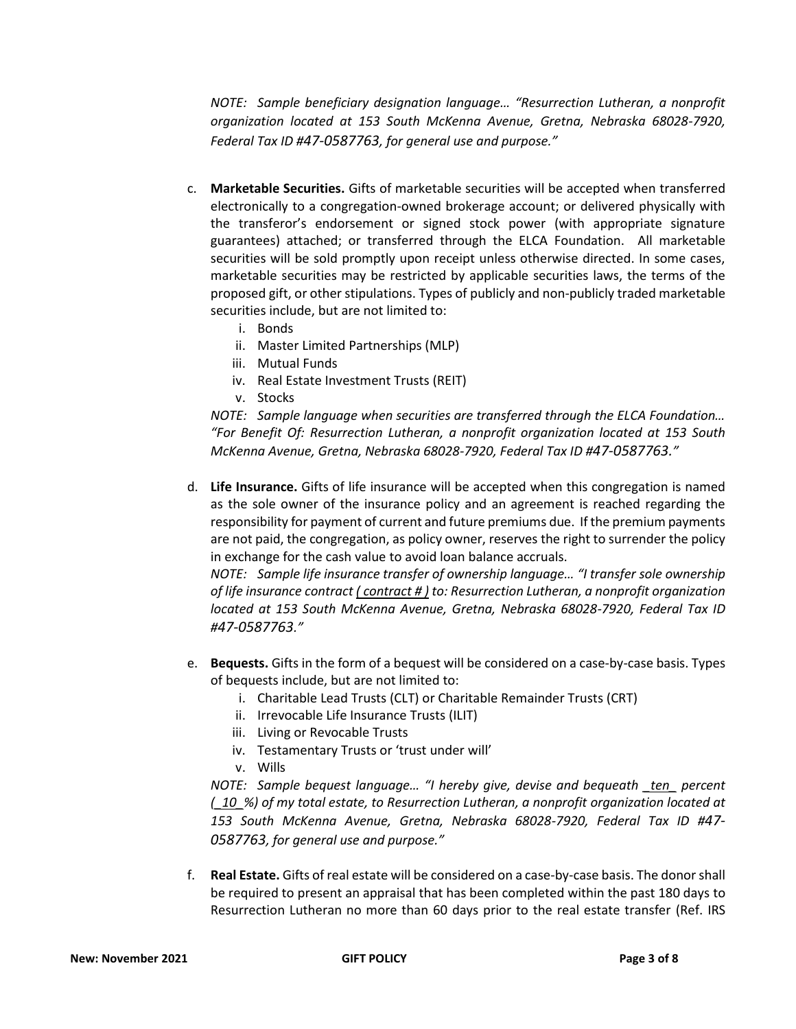*NOTE: Sample beneficiary designation language… "Resurrection Lutheran, a nonprofit organization located at 153 South McKenna Avenue, Gretna, Nebraska 68028-7920, Federal Tax ID #47-0587763, for general use and purpose."*

- c. **Marketable Securities.** Gifts of marketable securities will be accepted when transferred electronically to a congregation-owned brokerage account; or delivered physically with the transferor's endorsement or signed stock power (with appropriate signature guarantees) attached; or transferred through the ELCA Foundation. All marketable securities will be sold promptly upon receipt unless otherwise directed. In some cases, marketable securities may be restricted by applicable securities laws, the terms of the proposed gift, or other stipulations. Types of publicly and non-publicly traded marketable securities include, but are not limited to:
	- i. Bonds
	- ii. Master Limited Partnerships (MLP)
	- iii. Mutual Funds
	- iv. Real Estate Investment Trusts (REIT)
	- v. Stocks

*NOTE: Sample language when securities are transferred through the ELCA Foundation… "For Benefit Of: Resurrection Lutheran, a nonprofit organization located at 153 South McKenna Avenue, Gretna, Nebraska 68028-7920, Federal Tax ID #47-0587763."*

d. **Life Insurance.** Gifts of life insurance will be accepted when this congregation is named as the sole owner of the insurance policy and an agreement is reached regarding the responsibility for payment of current and future premiums due. If the premium payments are not paid, the congregation, as policy owner, reserves the right to surrender the policy in exchange for the cash value to avoid loan balance accruals.

*NOTE: Sample life insurance transfer of ownership language… "I transfer sole ownership of life insurance contract ( contract # ) to: Resurrection Lutheran, a nonprofit organization located at 153 South McKenna Avenue, Gretna, Nebraska 68028-7920, Federal Tax ID #47-0587763."*

- e. **Bequests.** Gifts in the form of a bequest will be considered on a case-by-case basis. Types of bequests include, but are not limited to:
	- i. Charitable Lead Trusts (CLT) or Charitable Remainder Trusts (CRT)
	- ii. Irrevocable Life Insurance Trusts (ILIT)
	- iii. Living or Revocable Trusts
	- iv. Testamentary Trusts or 'trust under will'
	- v. Wills

*NOTE: Sample bequest language… "I hereby give, devise and bequeath \_ten\_ percent (\_10\_%) of my total estate, to Resurrection Lutheran, a nonprofit organization located at 153 South McKenna Avenue, Gretna, Nebraska 68028-7920, Federal Tax ID #47- 0587763, for general use and purpose."*

f. **Real Estate.** Gifts of real estate will be considered on a case-by-case basis. The donor shall be required to present an appraisal that has been completed within the past 180 days to Resurrection Lutheran no more than 60 days prior to the real estate transfer (Ref. IRS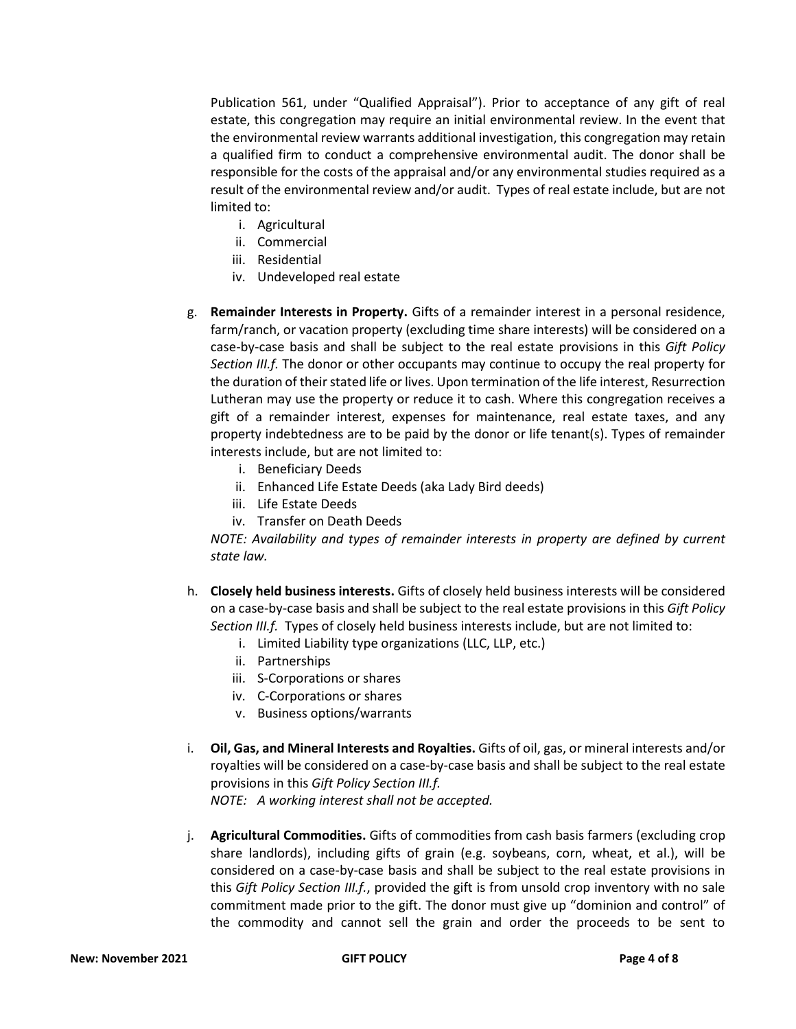Publication 561, under "Qualified Appraisal"). Prior to acceptance of any gift of real estate, this congregation may require an initial environmental review. In the event that the environmental review warrants additional investigation, this congregation may retain a qualified firm to conduct a comprehensive environmental audit. The donor shall be responsible for the costs of the appraisal and/or any environmental studies required as a result of the environmental review and/or audit. Types of real estate include, but are not limited to:

- i. Agricultural
- ii. Commercial
- iii. Residential
- iv. Undeveloped real estate
- g. **Remainder Interests in Property.** Gifts of a remainder interest in a personal residence, farm/ranch, or vacation property (excluding time share interests) will be considered on a case-by-case basis and shall be subject to the real estate provisions in this *Gift Policy Section III.f.* The donor or other occupants may continue to occupy the real property for the duration of their stated life or lives. Upon termination of the life interest, Resurrection Lutheran may use the property or reduce it to cash. Where this congregation receives a gift of a remainder interest, expenses for maintenance, real estate taxes, and any property indebtedness are to be paid by the donor or life tenant(s). Types of remainder interests include, but are not limited to:
	- i. Beneficiary Deeds
	- ii. Enhanced Life Estate Deeds (aka Lady Bird deeds)
	- iii. Life Estate Deeds
	- iv. Transfer on Death Deeds

*NOTE: Availability and types of remainder interests in property are defined by current state law.*

- h. **Closely held business interests.** Gifts of closely held business interests will be considered on a case-by-case basis and shall be subject to the real estate provisions in this *Gift Policy Section III.f.* Types of closely held business interests include, but are not limited to:
	- i. Limited Liability type organizations (LLC, LLP, etc.)
	- ii. Partnerships
	- iii. S-Corporations or shares
	- iv. C-Corporations or shares
	- v. Business options/warrants
- i. **Oil, Gas, and Mineral Interests and Royalties.** Gifts of oil, gas, or mineral interests and/or royalties will be considered on a case-by-case basis and shall be subject to the real estate provisions in this *Gift Policy Section III.f. NOTE: A working interest shall not be accepted.*
- j. **Agricultural Commodities.** Gifts of commodities from cash basis farmers (excluding crop share landlords), including gifts of grain (e.g. soybeans, corn, wheat, et al.), will be considered on a case-by-case basis and shall be subject to the real estate provisions in this *Gift Policy Section III.f.*, provided the gift is from unsold crop inventory with no sale commitment made prior to the gift. The donor must give up "dominion and control" of the commodity and cannot sell the grain and order the proceeds to be sent to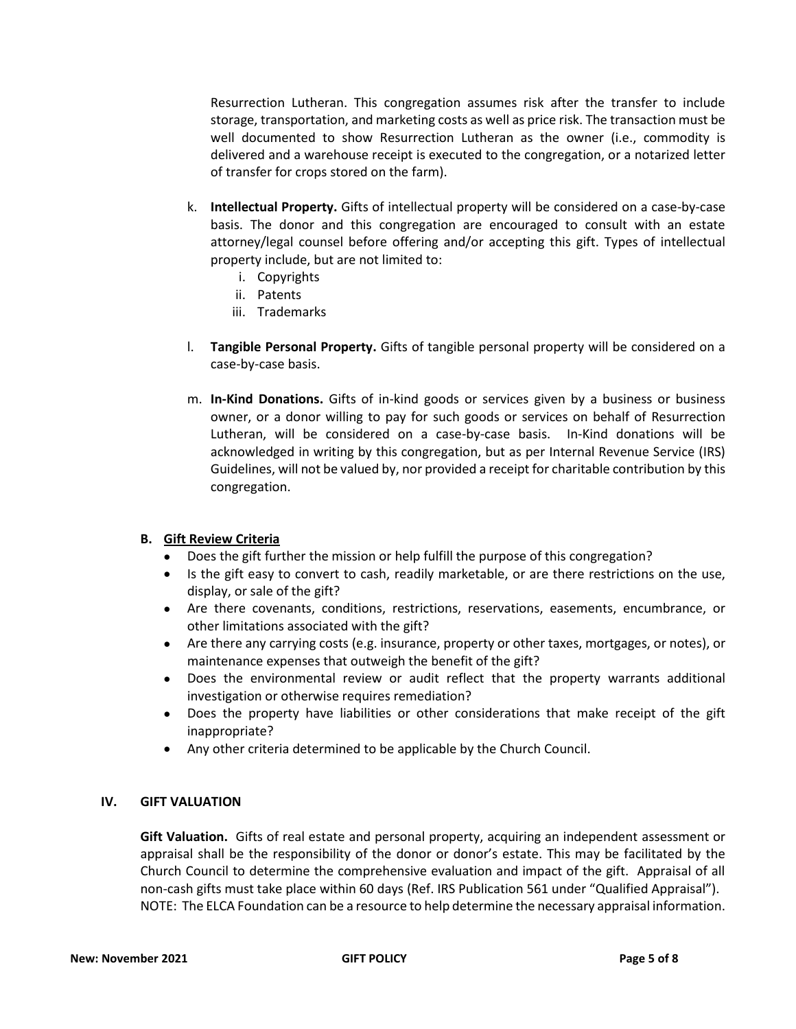Resurrection Lutheran. This congregation assumes risk after the transfer to include storage, transportation, and marketing costs as well as price risk. The transaction must be well documented to show Resurrection Lutheran as the owner (i.e., commodity is delivered and a warehouse receipt is executed to the congregation, or a notarized letter of transfer for crops stored on the farm).

- k. **Intellectual Property.** Gifts of intellectual property will be considered on a case-by-case basis. The donor and this congregation are encouraged to consult with an estate attorney/legal counsel before offering and/or accepting this gift. Types of intellectual property include, but are not limited to:
	- i. Copyrights
	- ii. Patents
	- iii. Trademarks
- l. **Tangible Personal Property.** Gifts of tangible personal property will be considered on a case-by-case basis.
- m. **In-Kind Donations.** Gifts of in-kind goods or services given by a business or business owner, or a donor willing to pay for such goods or services on behalf of Resurrection Lutheran, will be considered on a case-by-case basis. In-Kind donations will be acknowledged in writing by this congregation, but as per Internal Revenue Service (IRS) Guidelines, will not be valued by, nor provided a receipt for charitable contribution by this congregation.

### **B. Gift Review Criteria**

- Does the gift further the mission or help fulfill the purpose of this congregation?
- Is the gift easy to convert to cash, readily marketable, or are there restrictions on the use, display, or sale of the gift?
- Are there covenants, conditions, restrictions, reservations, easements, encumbrance, or other limitations associated with the gift?
- Are there any carrying costs (e.g. insurance, property or other taxes, mortgages, or notes), or maintenance expenses that outweigh the benefit of the gift?
- Does the environmental review or audit reflect that the property warrants additional investigation or otherwise requires remediation?
- Does the property have liabilities or other considerations that make receipt of the gift inappropriate?
- Any other criteria determined to be applicable by the Church Council.

### **IV. GIFT VALUATION**

**Gift Valuation.** Gifts of real estate and personal property, acquiring an independent assessment or appraisal shall be the responsibility of the donor or donor's estate. This may be facilitated by the Church Council to determine the comprehensive evaluation and impact of the gift. Appraisal of all non-cash gifts must take place within 60 days (Ref. IRS Publication 561 under "Qualified Appraisal"). NOTE: The ELCA Foundation can be a resource to help determine the necessary appraisal information.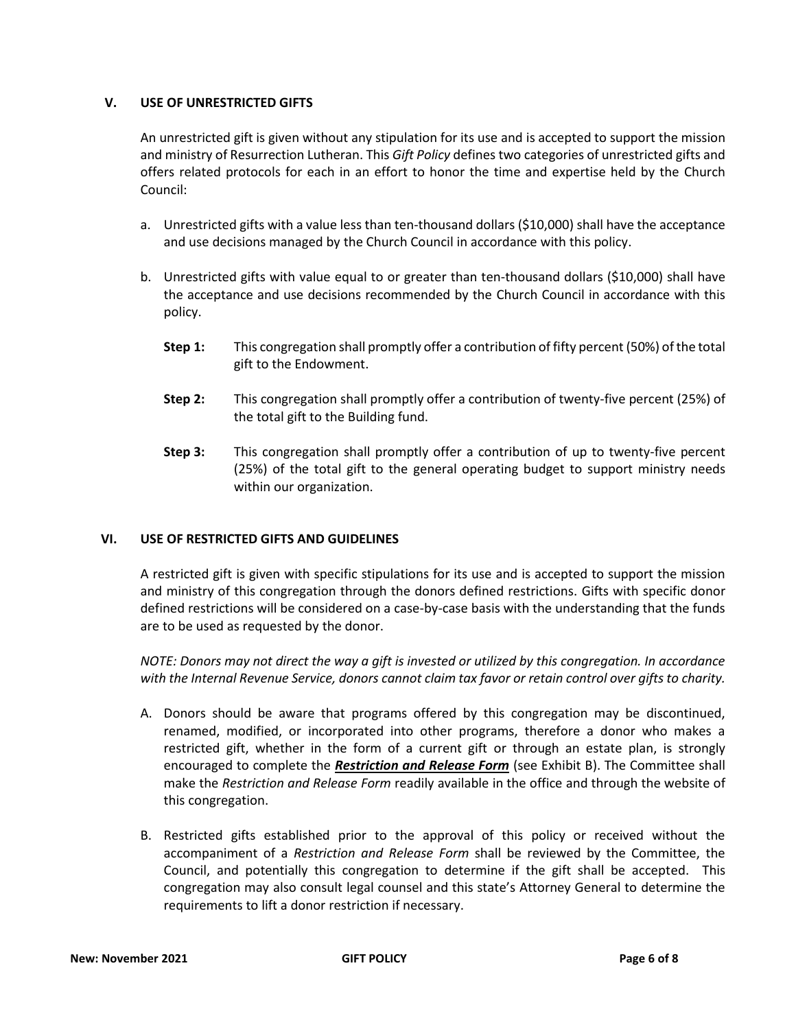### **V. USE OF UNRESTRICTED GIFTS**

An unrestricted gift is given without any stipulation for its use and is accepted to support the mission and ministry of Resurrection Lutheran. This *Gift Policy* defines two categories of unrestricted gifts and offers related protocols for each in an effort to honor the time and expertise held by the Church Council:

- a. Unrestricted gifts with a value less than ten-thousand dollars (\$10,000) shall have the acceptance and use decisions managed by the Church Council in accordance with this policy.
- b. Unrestricted gifts with value equal to or greater than ten-thousand dollars (\$10,000) shall have the acceptance and use decisions recommended by the Church Council in accordance with this policy.
	- **Step 1:** This congregation shall promptly offer a contribution of fifty percent (50%) of the total gift to the Endowment.
	- **Step 2:** This congregation shall promptly offer a contribution of twenty-five percent (25%) of the total gift to the Building fund.
	- **Step 3:** This congregation shall promptly offer a contribution of up to twenty-five percent (25%) of the total gift to the general operating budget to support ministry needs within our organization.

### **VI. USE OF RESTRICTED GIFTS AND GUIDELINES**

A restricted gift is given with specific stipulations for its use and is accepted to support the mission and ministry of this congregation through the donors defined restrictions. Gifts with specific donor defined restrictions will be considered on a case-by-case basis with the understanding that the funds are to be used as requested by the donor.

*NOTE: Donors may not direct the way a gift is invested or utilized by this congregation. In accordance with the Internal Revenue Service, donors cannot claim tax favor or retain control over gifts to charity.*

- A. Donors should be aware that programs offered by this congregation may be discontinued, renamed, modified, or incorporated into other programs, therefore a donor who makes a restricted gift, whether in the form of a current gift or through an estate plan, is strongly encouraged to complete the *Restriction and Release Form* (see Exhibit B). The Committee shall make the *Restriction and Release Form* readily available in the office and through the website of this congregation.
- B. Restricted gifts established prior to the approval of this policy or received without the accompaniment of a *Restriction and Release Form* shall be reviewed by the Committee, the Council, and potentially this congregation to determine if the gift shall be accepted. This congregation may also consult legal counsel and this state's Attorney General to determine the requirements to lift a donor restriction if necessary.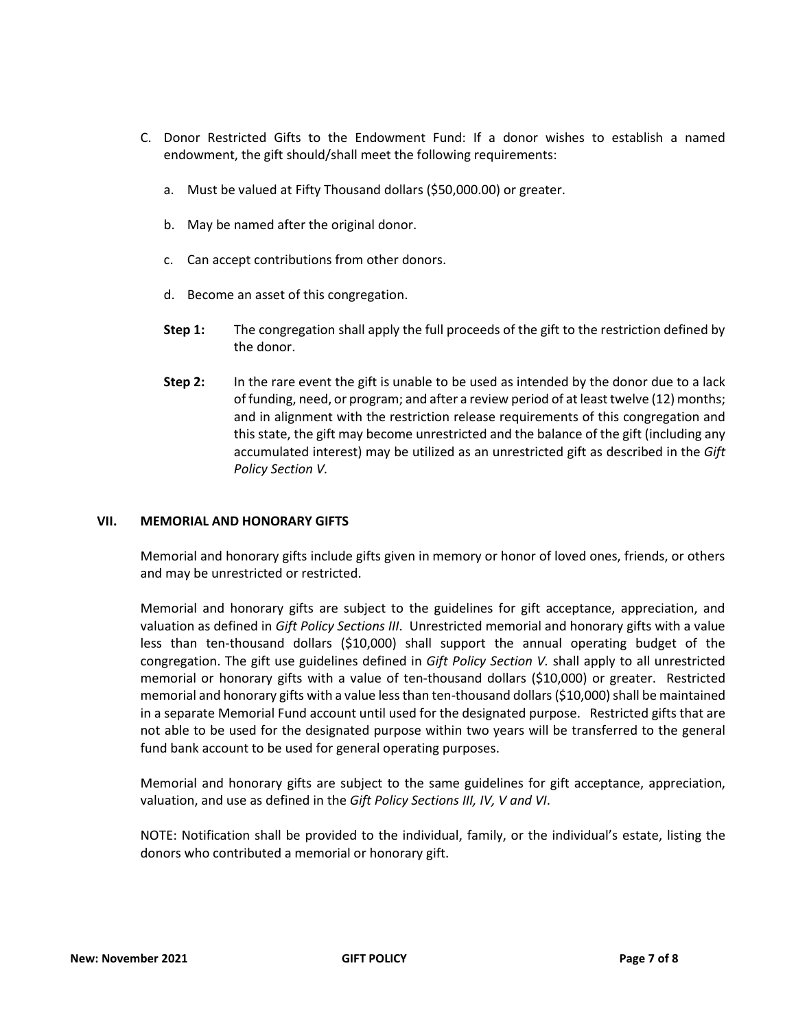- C. Donor Restricted Gifts to the Endowment Fund: If a donor wishes to establish a named endowment, the gift should/shall meet the following requirements:
	- a. Must be valued at Fifty Thousand dollars (\$50,000.00) or greater.
	- b. May be named after the original donor.
	- c. Can accept contributions from other donors.
	- d. Become an asset of this congregation.
	- **Step 1:** The congregation shall apply the full proceeds of the gift to the restriction defined by the donor.
	- **Step 2:** In the rare event the gift is unable to be used as intended by the donor due to a lack of funding, need, or program; and after a review period of at least twelve (12) months; and in alignment with the restriction release requirements of this congregation and this state, the gift may become unrestricted and the balance of the gift (including any accumulated interest) may be utilized as an unrestricted gift as described in the *Gift Policy Section V.*

### **VII. MEMORIAL AND HONORARY GIFTS**

Memorial and honorary gifts include gifts given in memory or honor of loved ones, friends, or others and may be unrestricted or restricted.

Memorial and honorary gifts are subject to the guidelines for gift acceptance, appreciation, and valuation as defined in *Gift Policy Sections III*. Unrestricted memorial and honorary gifts with a value less than ten-thousand dollars (\$10,000) shall support the annual operating budget of the congregation. The gift use guidelines defined in *Gift Policy Section V.* shall apply to all unrestricted memorial or honorary gifts with a value of ten-thousand dollars (\$10,000) or greater. Restricted memorial and honorary gifts with a value less than ten-thousand dollars (\$10,000) shall be maintained in a separate Memorial Fund account until used for the designated purpose. Restricted gifts that are not able to be used for the designated purpose within two years will be transferred to the general fund bank account to be used for general operating purposes.

Memorial and honorary gifts are subject to the same guidelines for gift acceptance, appreciation, valuation, and use as defined in the *Gift Policy Sections III, IV, V and VI*.

NOTE: Notification shall be provided to the individual, family, or the individual's estate, listing the donors who contributed a memorial or honorary gift.